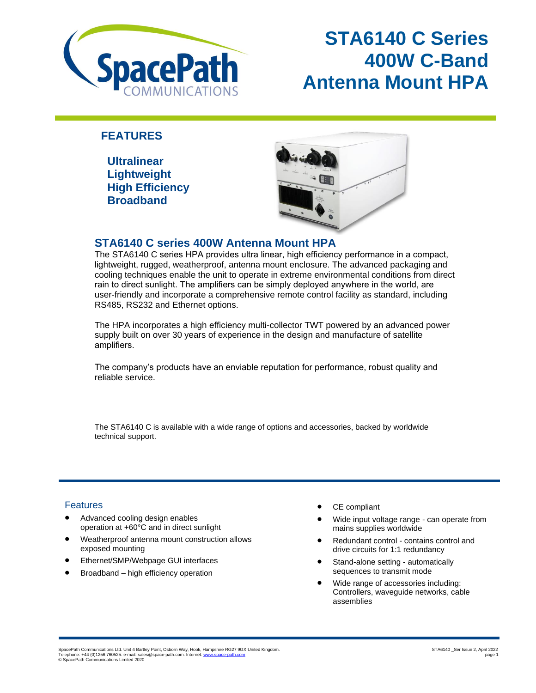

# **STA6140 C Series 400W C-Band Antenna Mount HPA**

## **FEATURES**

 **Ultralinear Lightweight High Efficiency Broadband**



### **STA6140 C series 400W Antenna Mount HPA**

The STA6140 C series HPA provides ultra linear, high efficiency performance in a compact, lightweight, rugged, weatherproof, antenna mount enclosure. The advanced packaging and cooling techniques enable the unit to operate in extreme environmental conditions from direct rain to direct sunlight. The amplifiers can be simply deployed anywhere in the world, are user-friendly and incorporate a comprehensive remote control facility as standard, including RS485, RS232 and Ethernet options.

The HPA incorporates a high efficiency multi-collector TWT powered by an advanced power supply built on over 30 years of experience in the design and manufacture of satellite amplifiers.

The company's products have an enviable reputation for performance, robust quality and reliable service.

The STA6140 C is available with a wide range of options and accessories, backed by worldwide technical support.

### **Features**

- Advanced cooling design enables operation at +60°C and in direct sunlight
- Weatherproof antenna mount construction allows exposed mounting
- Ethernet/SMP/Webpage GUI interfaces
- Broadband high efficiency operation
- CE compliant
- Wide input voltage range can operate from mains supplies worldwide
- Redundant control contains control and drive circuits for 1:1 redundancy
- Stand-alone setting automatically sequences to transmit mode
- Wide range of accessories including: Controllers, waveguide networks, cable assemblies

SpacePath Communications Ltd. Unit 4 Bartley Point, Osborn Way, Hook, Hampshire RG27 9GX United Kingdom.<br>Telephone: +44 (0)1256 760525. e-mail: sales@space-path.com. Internet: <u>www.space-path.com</u> © SpacePath Communications Limited 2020